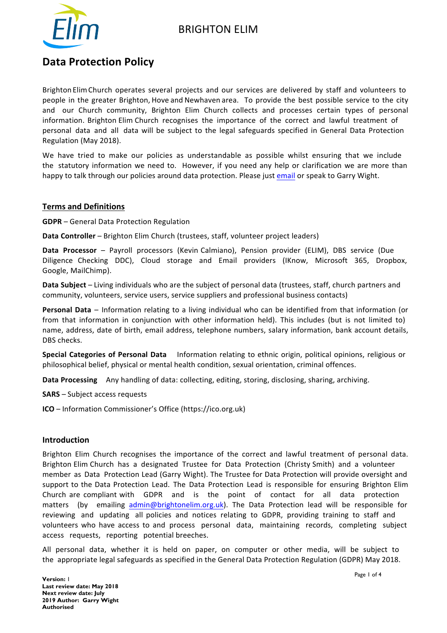# BRIGHTON ELIM



# **Data Protection Policy**

Brighton Elim Church operates several projects and our services are delivered by staff and volunteers to people in the greater Brighton, Hove and Newhaven area. To provide the best possible service to the city and our Church community, Brighton Elim Church collects and processes certain types of personal information. Brighton Elim Church recognises the importance of the correct and lawful treatment of personal data and all data will be subject to the legal safeguards specified in General Data Protection Regulation (May 2018).

We have tried to make our policies as understandable as possible whilst ensuring that we include the statutory information we need to. However, if you need any help or clarification we are more than happy to talk through our policies around data protection. Please just email or speak to Garry Wight.

## **Terms and Definitions**

**GDPR** – General Data Protection Regulation

**Data Controller** – Brighton Elim Church (trustees, staff, volunteer project leaders)

**Data Processor** – Payroll processors (Kevin Calmiano), Pension provider (ELIM), DBS service (Due Diligence Checking DDC), Cloud storage and Email providers (IKnow, Microsoft 365, Dropbox, Google, MailChimp).

**Data Subject** – Living individuals who are the subject of personal data (trustees, staff, church partners and community, volunteers, service users, service suppliers and professional business contacts)

**Personal Data** – Information relating to a living individual who can be identified from that information (or from that information in conjunction with other information held). This includes (but is not limited to) name, address, date of birth, email address, telephone numbers, salary information, bank account details, DBS checks.

**Special Categories of Personal Data** Information relating to ethnic origin, political opinions, religious or philosophical belief, physical or mental health condition, sexual orientation, criminal offences.

**Data Processing** Any handling of data: collecting, editing, storing, disclosing, sharing, archiving.

**SARS** – Subject access requests

**ICO** – Information Commissioner's Office (https://ico.org.uk)

#### **Introduction**

Brighton Elim Church recognises the importance of the correct and lawful treatment of personal data. Brighton Elim Church has a designated Trustee for Data Protection (Christy Smith) and a volunteer member as Data Protection Lead (Garry Wight). The Trustee for Data Protection will provide oversight and support to the Data Protection Lead. The Data Protection Lead is responsible for ensuring Brighton Elim Church are compliant with GDPR and is the point of contact for all data protection matters (by emailing admin@brightonelim.org.uk). The Data Protection lead will be responsible for reviewing and updating all policies and notices relating to GDPR, providing training to staff and volunteers who have access to and process personal data, maintaining records, completing subject access requests, reporting potential breeches.

All personal data, whether it is held on paper, on computer or other media, will be subject to the appropriate legal safeguards as specified in the General Data Protection Regulation (GDPR) May 2018.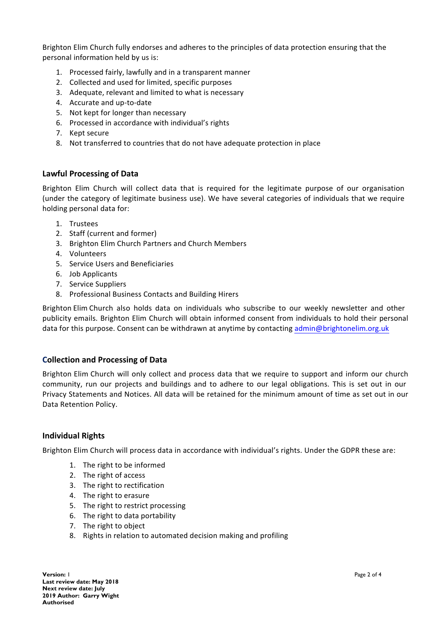Brighton Elim Church fully endorses and adheres to the principles of data protection ensuring that the personal information held by us is:

- 1. Processed fairly, lawfully and in a transparent manner
- 2. Collected and used for limited, specific purposes
- 3. Adequate, relevant and limited to what is necessary
- 4. Accurate and up-to-date
- 5. Not kept for longer than necessary
- 6. Processed in accordance with individual's rights
- 7. Kept secure
- 8. Not transferred to countries that do not have adequate protection in place

## **Lawful Processing of Data**

Brighton Elim Church will collect data that is required for the legitimate purpose of our organisation (under the category of legitimate business use). We have several categories of individuals that we require holding personal data for:

- 1. Trustees
- 2. Staff (current and former)
- 3. Brighton Elim Church Partners and Church Members
- 4. Volunteers
- 5. Service Users and Beneficiaries
- 6. Job Applicants
- 7. Service Suppliers
- 8. Professional Business Contacts and Building Hirers

Brighton Elim Church also holds data on individuals who subscribe to our weekly newsletter and other publicity emails. Brighton Elim Church will obtain informed consent from individuals to hold their personal data for this purpose. Consent can be withdrawn at anytime by contacting admin@brightonelim.org.uk

# **Collection and Processing of Data**

Brighton Elim Church will only collect and process data that we require to support and inform our church community, run our projects and buildings and to adhere to our legal obligations. This is set out in our Privacy Statements and Notices. All data will be retained for the minimum amount of time as set out in our Data Retention Policy.

#### **Individual Rights**

Brighton Elim Church will process data in accordance with individual's rights. Under the GDPR these are:

- 1. The right to be informed
- 2. The right of access
- 3. The right to rectification
- 4. The right to erasure
- 5. The right to restrict processing
- 6. The right to data portability
- 7. The right to object
- 8. Rights in relation to automated decision making and profiling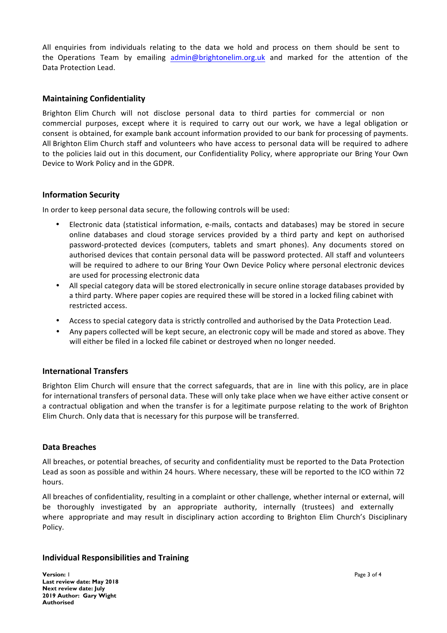All enquiries from individuals relating to the data we hold and process on them should be sent to the Operations Team by emailing admin@brightonelim.org.uk and marked for the attention of the Data Protection Lead.

## **Maintaining Confidentiality**

Brighton Elim Church will not disclose personal data to third parties for commercial or non commercial purposes, except where it is required to carry out our work, we have a legal obligation or consent is obtained, for example bank account information provided to our bank for processing of payments. All Brighton Elim Church staff and volunteers who have access to personal data will be required to adhere to the policies laid out in this document, our Confidentiality Policy, where appropriate our Bring Your Own Device to Work Policy and in the GDPR.

## **Information Security**

In order to keep personal data secure, the following controls will be used:

- Electronic data (statistical information, e-mails, contacts and databases) may be stored in secure online databases and cloud storage services provided by a third party and kept on authorised password-protected devices (computers, tablets and smart phones). Any documents stored on authorised devices that contain personal data will be password protected. All staff and volunteers will be required to adhere to our Bring Your Own Device Policy where personal electronic devices are used for processing electronic data
- All special category data will be stored electronically in secure online storage databases provided by a third party. Where paper copies are required these will be stored in a locked filing cabinet with restricted access.
- Access to special category data is strictly controlled and authorised by the Data Protection Lead.
- Any papers collected will be kept secure, an electronic copy will be made and stored as above. They will either be filed in a locked file cabinet or destroyed when no longer needed.

# **International Transfers**

Brighton Elim Church will ensure that the correct safeguards, that are in line with this policy, are in place for international transfers of personal data. These will only take place when we have either active consent or a contractual obligation and when the transfer is for a legitimate purpose relating to the work of Brighton Elim Church. Only data that is necessary for this purpose will be transferred.

#### **Data Breaches**

All breaches, or potential breaches, of security and confidentiality must be reported to the Data Protection Lead as soon as possible and within 24 hours. Where necessary, these will be reported to the ICO within 72 hours. 

All breaches of confidentiality, resulting in a complaint or other challenge, whether internal or external, will be thoroughly investigated by an appropriate authority, internally (trustees) and externally where appropriate and may result in disciplinary action according to Brighton Elim Church's Disciplinary Policy. 

#### **Individual Responsibilities and Training**